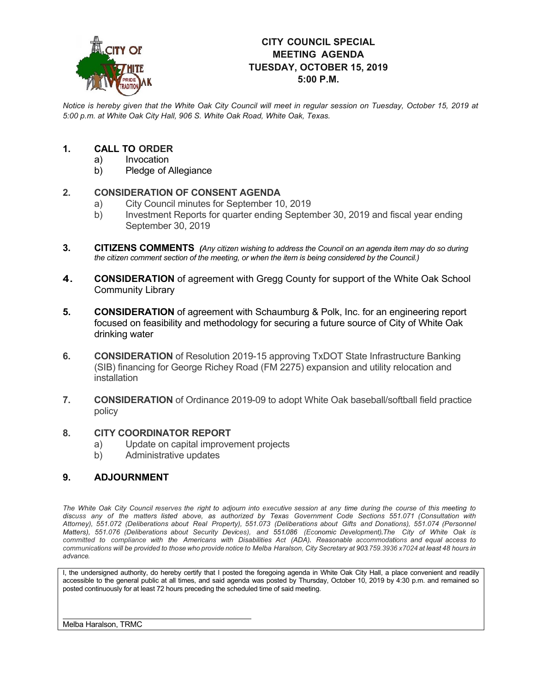

# **CITY COUNCIL SPECIAL MEETING AGENDA TUESDAY, OCTOBER 15, 2019 5:00 P.M.**

*Notice is hereby given that the White Oak City Council will meet in regular session on Tuesday, October 15, 2019 at 5:00 p.m. at White Oak City Hall, 906 S. White Oak Road, White Oak, Texas.*

#### **1. CALL TO ORDER**

- a) Invocation<br>b) Pledge of *I*
- Pledge of Allegiance

# **2. CONSIDERATION OF CONSENT AGENDA**<br> **2.** City Council minutes for September 10

- City Council minutes for September 10, 2019
- b) Investment Reports for quarter ending September 30, 2019 and fiscal year ending September 30, 2019
- **3. CITIZENS COMMENTS** *(Any citizen wishing to address the Council on an agenda item may do so during the citizen comment section of the meeting, or when the item is being considered by the Council.)*
- **4. CONSIDERATION** of agreement with Gregg County for support of the White Oak School Community Library
- **5. CONSIDERATION** of agreement with Schaumburg & Polk, Inc. for an engineering report focused on feasibility and methodology for securing a future source of City of White Oak drinking water
- **6. CONSIDERATION** of Resolution 2019-15 approving TxDOT State Infrastructure Banking (SIB) financing for George Richey Road (FM 2275) expansion and utility relocation and installation
- **7. CONSIDERATION** of Ordinance 2019-09 to adopt White Oak baseball/softball field practice policy

## **8. CITY COORDINATOR REPORT**

- a) Update on capital improvement projects<br>b) Administrative updates
- Administrative updates

### **9. ADJOURNMENT**

The White Oak City Council reserves the right to adjourn into executive session at any time during the course of this meeting to discuss any of the matters listed above, as authorized by Texas Government Code Sections 551.071 (Consultation with *Attorney), 551.072 (Deliberations about Real Property), 551.073 (Deliberations about Gifts and Donations), 551.074 (Personnel Matters), 551.076 (Deliberations about Security Devices), and 551.086 (Economic Development).The City of White Oak is committed to compliance with the Americans with Disabilities Act (ADA). Reasonable accommodations and equal access to* communications will be provided to those who provide notice to Melba Haralson, City Secretary at 903.759.3936 x7024 at least 48 hours in *advance.*

I, the undersigned authority, do hereby certify that I posted the foregoing agenda in White Oak City Hall, a place convenient and readily accessible to the general public at all times, and said agenda was posted by Thursday, October 10, 2019 by 4:30 p.m. and remained so posted continuously for at least 72 hours preceding the scheduled time of said meeting.

Melba Haralson, TRMC